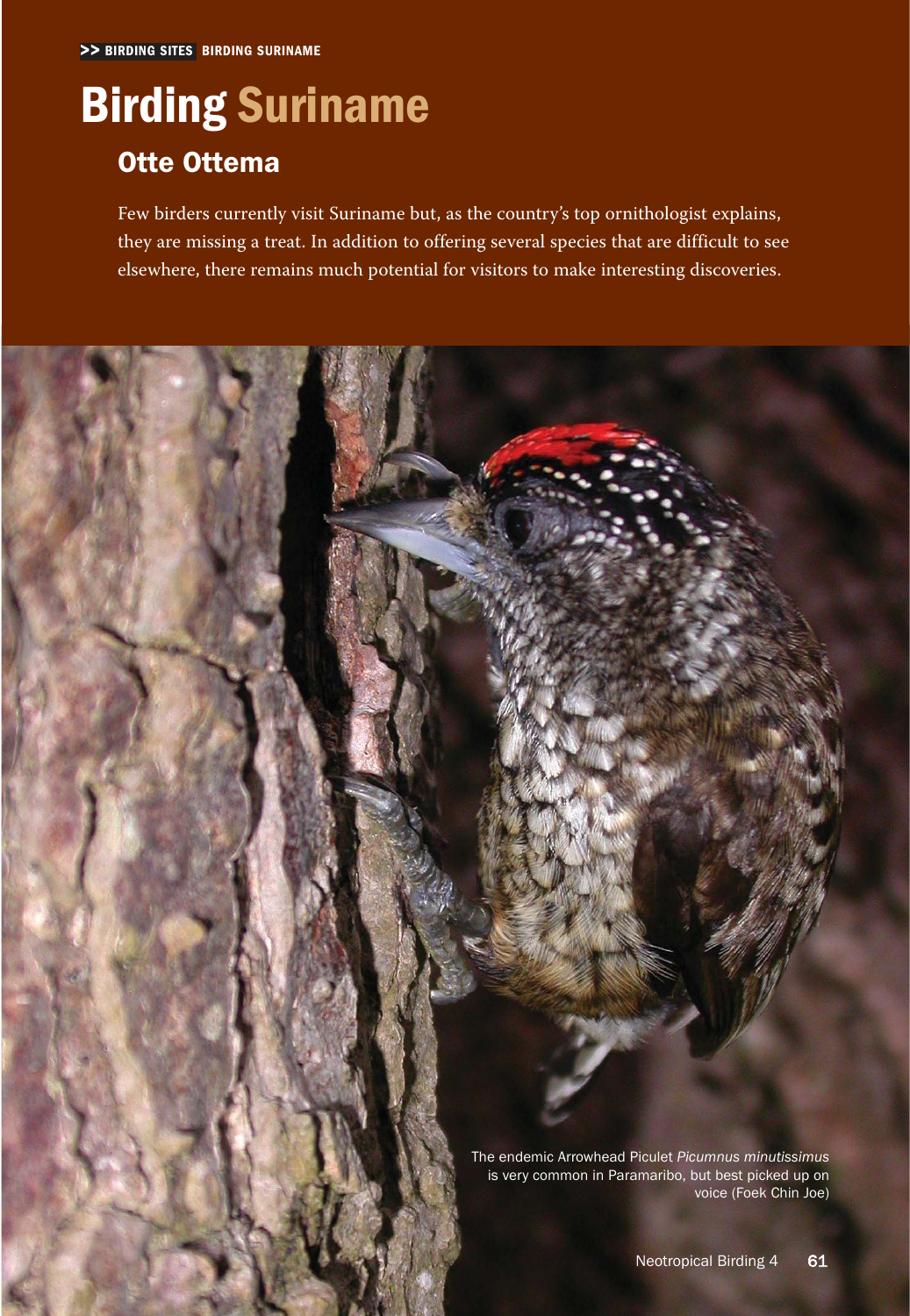# Birding Suriname Otte Ottema

Few birders currently visit Suriname but, as the country's top ornithologist explains, they are missing a treat. In addition to offering several species that are difficult to see elsewhere, there remains much potential for visitors to make interesting discoveries.

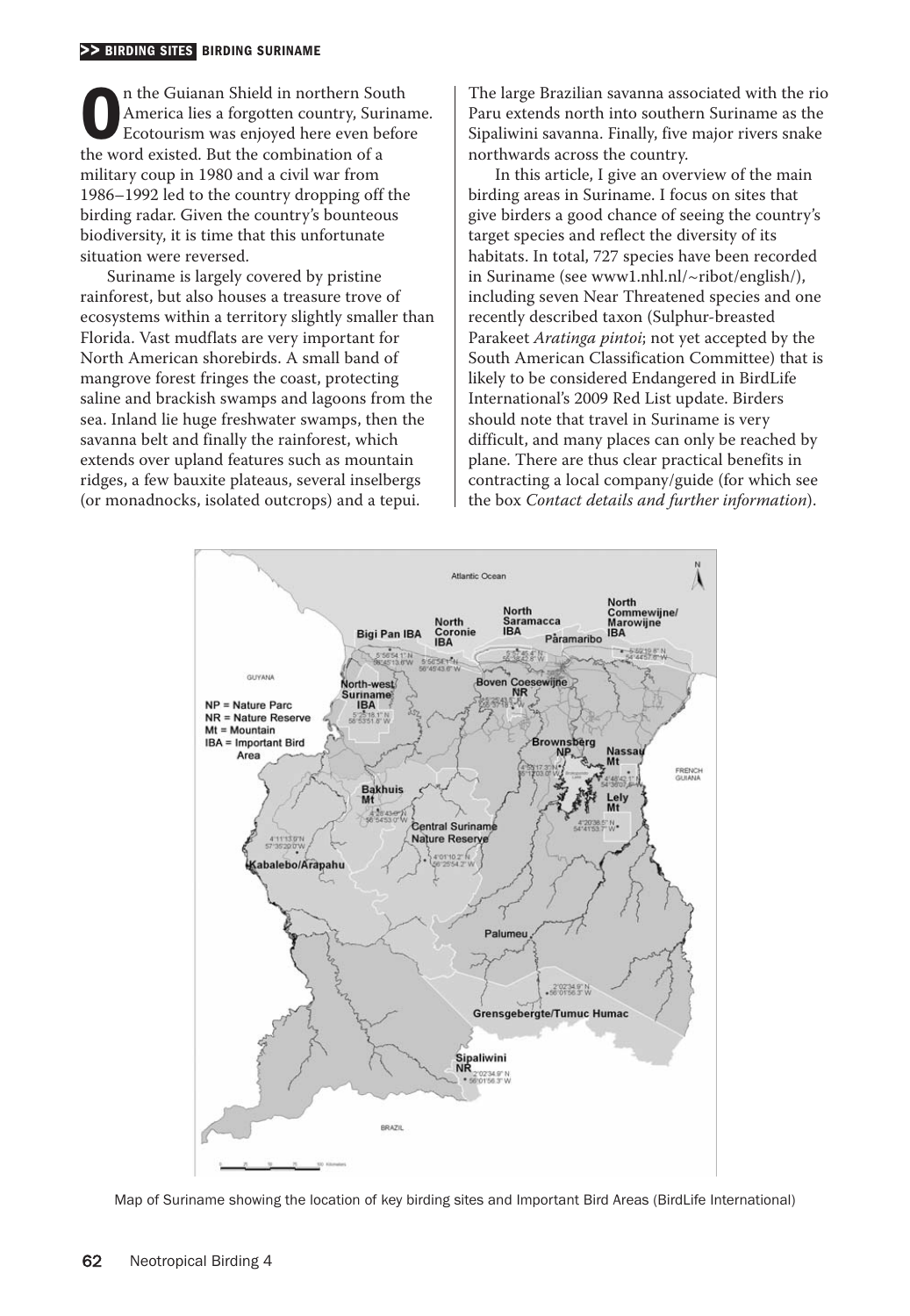#### >> BIRDING SITES BIRDING SURINAME

On the Guianan Shield in northern South<br>
America lies a forgotten country, Surinam<br>
Ecotourism was enjoyed here even before<br>
the word existed But the combination of a America lies a forgotten country, Suriname. the word existed. But the combination of a military coup in 1980 and a civil war from 1986–1992 led to the country dropping off the birding radar. Given the country's bounteous biodiversity, it is time that this unfortunate situation were reversed.

Suriname is largely covered by pristine rainforest, but also houses a treasure trove of ecosystems within a territory slightly smaller than Florida. Vast mudflats are very important for North American shorebirds. A small band of mangrove forest fringes the coast, protecting saline and brackish swamps and lagoons from the sea. Inland lie huge freshwater swamps, then the savanna belt and finally the rainforest, which extends over upland features such as mountain ridges, a few bauxite plateaus, several inselbergs (or monadnocks, isolated outcrops) and a tepui.

The large Brazilian savanna associated with the rio Paru extends north into southern Suriname as the Sipaliwini savanna. Finally, five major rivers snake northwards across the country.

In this article, I give an overview of the main birding areas in Suriname. I focus on sites that give birders a good chance of seeing the country's target species and reflect the diversity of its habitats. In total, 727 species have been recorded in Suriname (see www1.nhl.nl/~ribot/english/), including seven Near Threatened species and one recently described taxon (Sulphur-breasted Parakeet *Aratinga pintoi*; not yet accepted by the South American Classification Committee) that is likely to be considered Endangered in BirdLife International's 2009 Red List update. Birders should note that travel in Suriname is very difficult, and many places can only be reached by plane. There are thus clear practical benefits in contracting a local company/guide (for which see the box *Contact details and further information*).



Map of Suriname showing the location of key birding sites and Important Bird Areas (BirdLife International)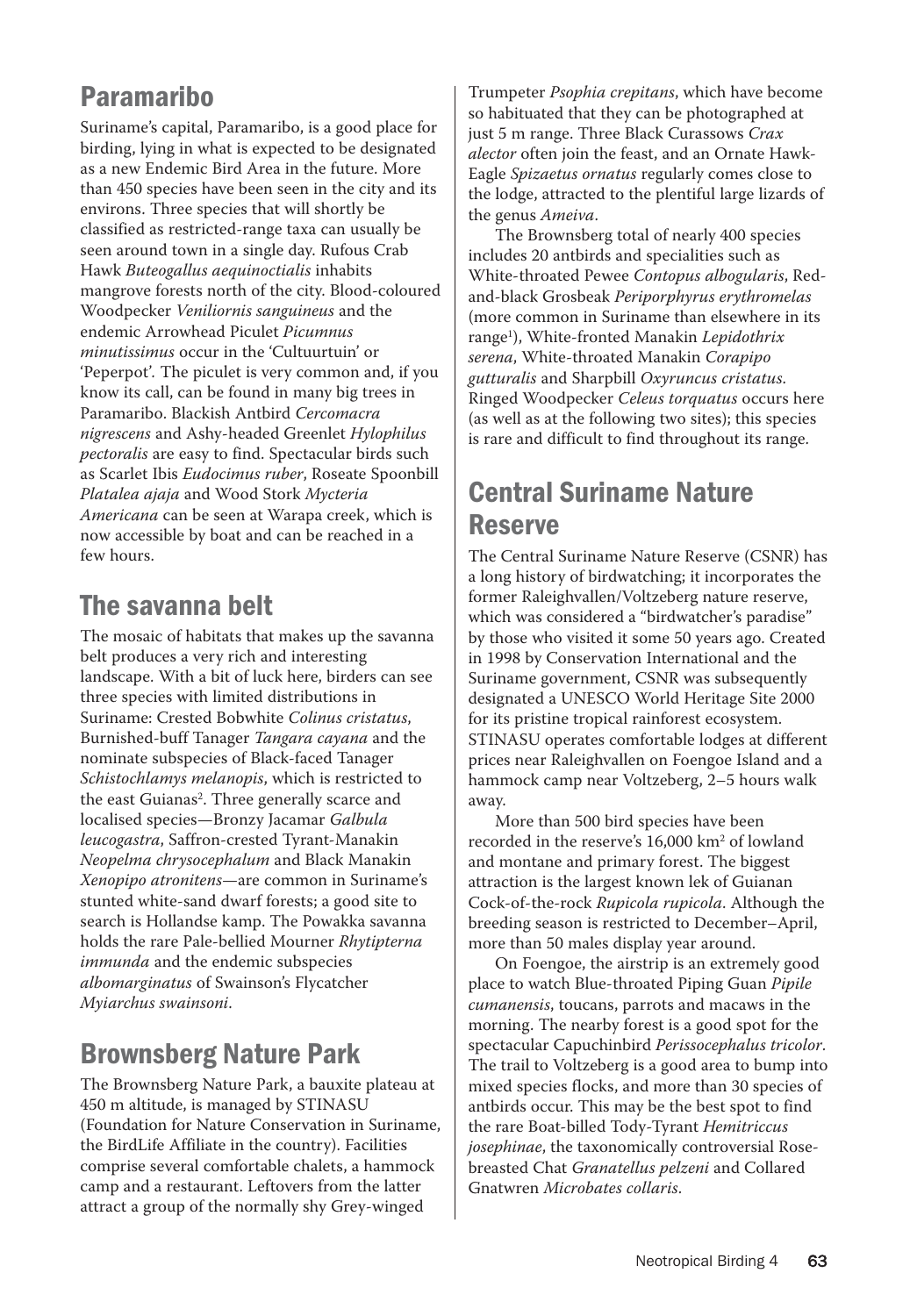### Paramaribo

Suriname's capital, Paramaribo, is a good place for birding, lying in what is expected to be designated as a new Endemic Bird Area in the future. More than 450 species have been seen in the city and its environs. Three species that will shortly be classified as restricted- range taxa can usually be seen around town in a single day. Rufous Crab Hawk *Buteogallus aequinoctialis* inhabits mangrove forests north of the city. Blood- coloured Woodpecker *Veniliornis sanguineus* and the endemic Arrowhead Piculet *Picumnus minutissimus* occur in the 'Cultuurtuin' or 'Peperpot'*.* The piculet is very common and, if you know its call, can be found in many big trees in Paramaribo. Blackish Antbird *Cercomacra nigrescens* and Ashy- headed Greenlet *Hylophilus pectoralis* are easy to find. Spectacular birds such as Scarlet Ibis *Eudocimus ruber*, Roseate Spoonbill *Platalea ajaja* and Wood Stork *Mycteria Americana* can be seen at Warapa creek, which is now accessible by boat and can be reached in a few hours.

### The savanna belt

The mosaic of habitats that makes up the savanna belt produces a very rich and interesting landscape. With a bit of luck here, birders can see three species with limited distributions in Suriname: Crested Bobwhite *Colinus cristatus*, Burnished- buff Tanager *Tangara cayana* and the nominate subspecies of Black-faced Tanager *Schistochlamys melanopis*, which is restricted to the east Guianas<sup>2</sup>. Three generally scarce and localised species— Bronzy Jacamar *Galbula leucogastra*, Saffron- crested Tyrant- Manakin *Neopelma chrysocephalum* and Black Manakin *Xenopipo atronitens*— are common in Suriname's stunted white-sand dwarf forests; a good site to search is Hollandse kamp. The Powakka savanna holds the rare Pale- bellied Mourner *Rhytipterna immunda* and the endemic subspecies *albomarginatus* of Swainson's Flycatcher *Myiarchus swainsoni*.

## Brownsberg Nature Park

The Brownsberg Nature Park, a bauxite plateau at 450 m altitude, is managed by STINASU (Foundation for Nature Conservation in Suriname, the BirdLife Affiliate in the country). Facilities comprise several comfortable chalets, a hammock camp and a restaurant. Leftovers from the latter attract a group of the normally shy Grey- winged

Trumpeter *Psophia crepitans*, which have become so habituated that they can be photographed at just 5 m range. Three Black Curassows *Crax alector* often join the feast, and an Ornate Hawk- Eagle *Spizaetus ornatus* regularly comes close to the lodge, attracted to the plentiful large lizards of the genus *Ameiva*.

The Brownsberg total of nearly 400 species includes 20 antbirds and specialities such as White- throated Pewee *Contopus albogularis*, Red and- black Grosbeak *Periporphyrus erythromelas* (more common in Suriname than elsewhere in its range1), White- fronted Manakin *Lepidothrix serena*, White- throated Manakin *Corapipo gutturalis* and Sharpbill *Oxyruncus cristatus*. Ringed Woodpecker *Celeus torquatus* occurs here (as well as at the following two sites); this species is rare and difficult to find throughout its range.

### Central Suriname Nature Reserve

The Central Suriname Nature Reserve (CSNR) has a long history of birdwatching; it incorporates the former Raleighvallen/Voltzeberg nature reserve, which was considered a "birdwatcher's paradise" by those who visited it some 50 years ago. Created in 1998 by Conservation International and the Suriname government, CSNR was subsequently designated a UNESCO World Heritage Site 2000 for its pristine tropical rainforest ecosystem. STINASU operates comfortable lodges at different prices near Raleighvallen on Foengoe Island and a hammock camp near Voltzeberg, 2–5 hours walk away.

More than 500 bird species have been recorded in the reserve's 16,000 km2 of lowland and montane and primary forest. The biggest attraction is the largest known lek of Guianan Cock- of- the- rock *Rupicola rupicola*. Although the breeding season is restricted to December–April, more than 50 males display year around.

On Foengoe, the airstrip is an extremely good place to watch Blue- throated Piping Guan *Pipile cumanensis*, toucans, parrots and macaws in the morning. The nearby forest is a good spot for the spectacular Capuchinbird *Perissocephalus tricolor*. The trail to Voltzeberg is a good area to bump into mixed species flocks, and more than 30 species of antbirds occur. This may be the best spot to find the rare Boat- billed Tody- Tyrant *Hemitriccus josephinae*, the taxonomically controversial Rose breasted Chat *Granatellus pelzeni* and Collared Gnatwren *Microbates collaris*.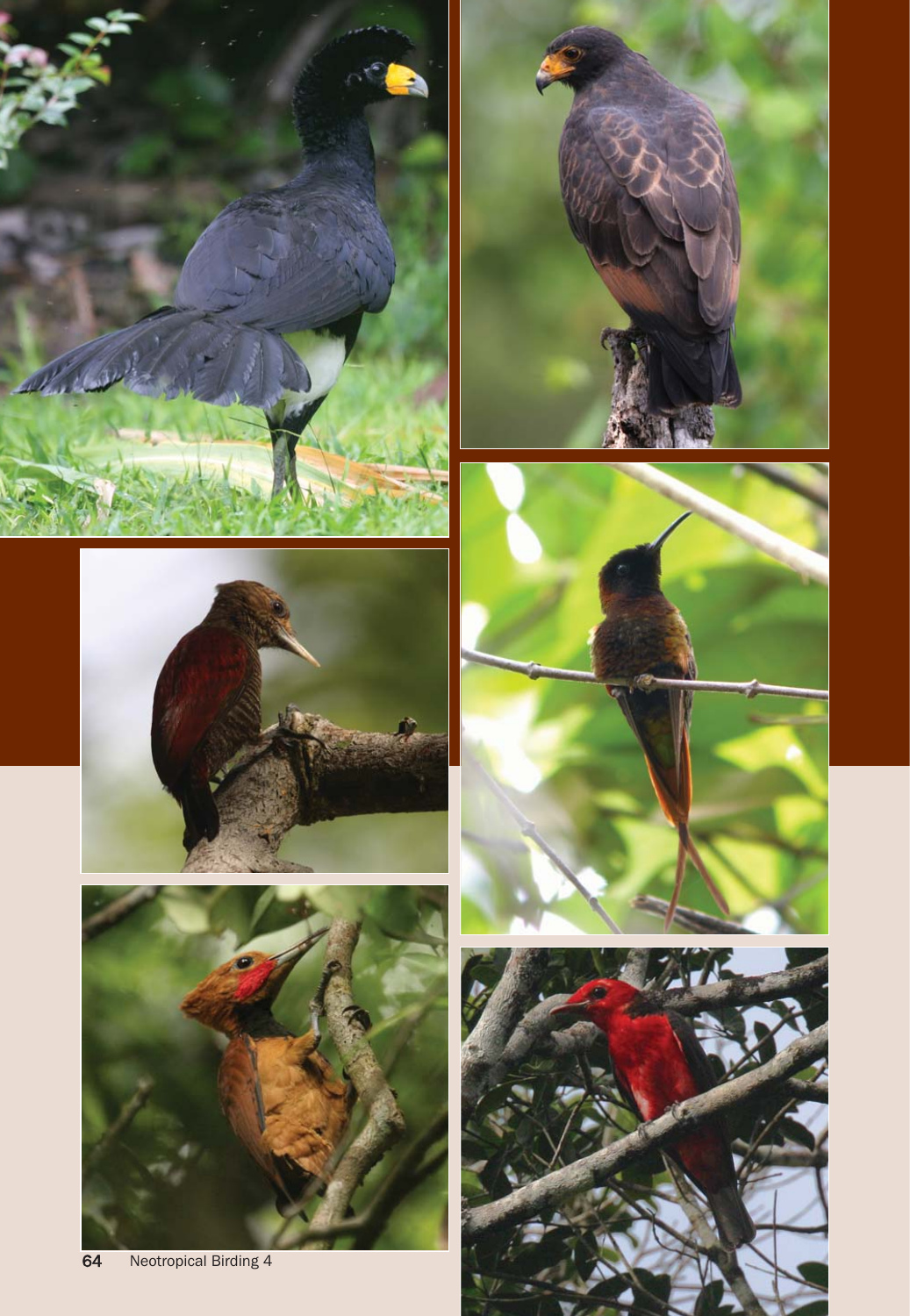









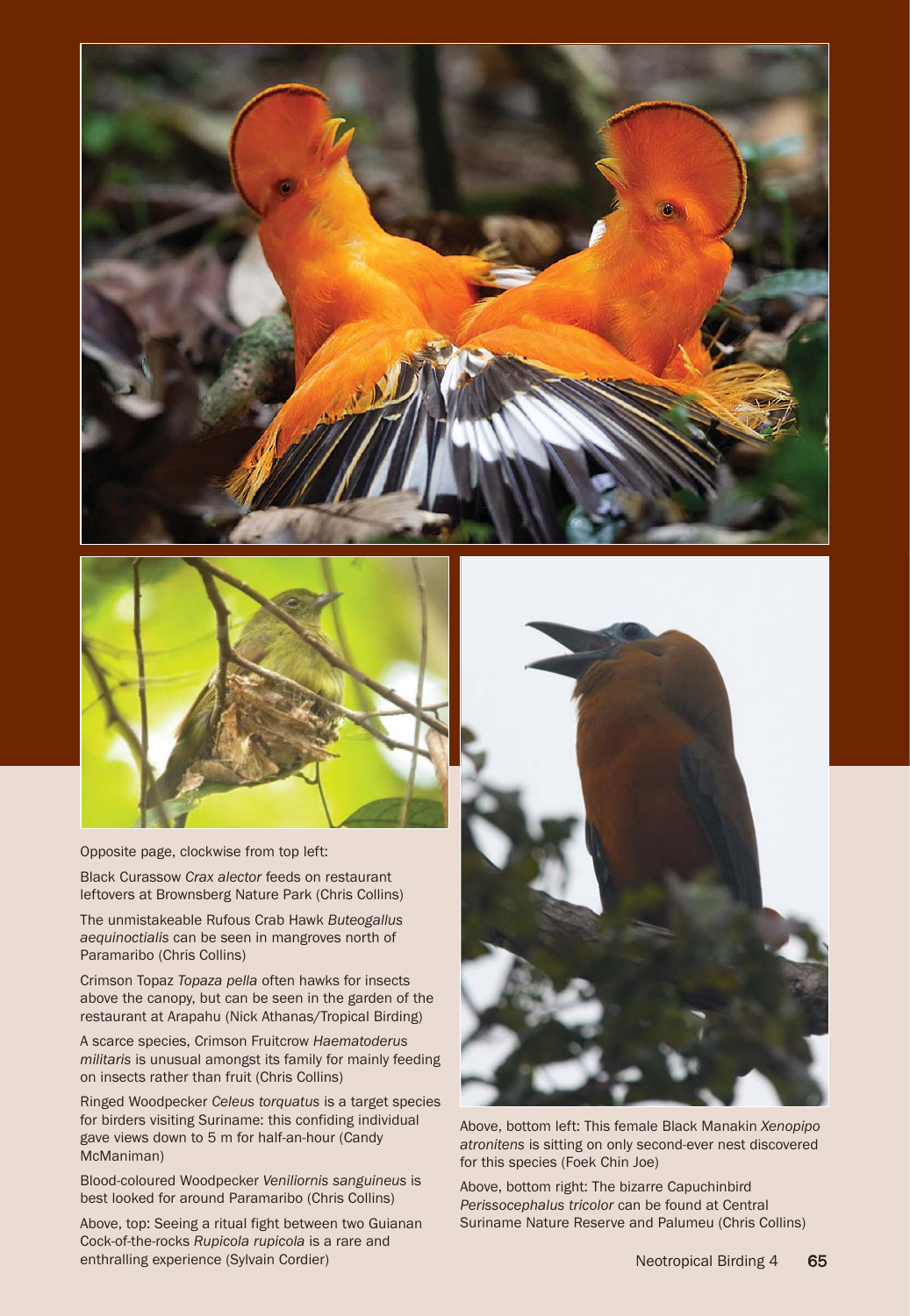



Opposite page, clockwise from top left: Black Curassow *Crax alector* feeds on restaurant leftovers at Brownsberg Nature Park (Chris Collins)

The unmistakeable Rufous Crab Hawk *Buteogallus aequinoctialis* can be seen in mangroves north of Paramaribo (Chris Collins)

Crimson Topaz *Topaza pella* often hawks for insects above the canopy, but can be seen in the garden of the restaurant at Arapahu (Nick Athanas/Tropical Birding)

A scarce species, Crimson Fruitcrow *Haematoderus militaris* is unusual amongst its family for mainly feeding on insects rather than fruit (Chris Collins)

Ringed Woodpecker *Celeus torquatus* is a target species for birders visiting Suriname: this confiding individual gave views down to 5 m for half-an-hour (Candy McManiman)

Blood- coloured Woodpecker *Veniliornis sanguineus* is best looked for around Paramaribo (Chris Collins)

Above, top: Seeing a ritual fight between two Guianan Cock- of- the- rocks *Rupicola rupicola* is a rare and enthralling experience (Sylvain Cordier)



Above, bottom left: This female Black Manakin *Xenopipo* atronitens is sitting on only second-ever nest discovered for this species (Foek Chin Joe)

Above, bottom right: The bizarre Capuchinbird *Perissocephalus tricolor* can be found at Central Suriname Nature Reserve and Palumeu (Chris Collins)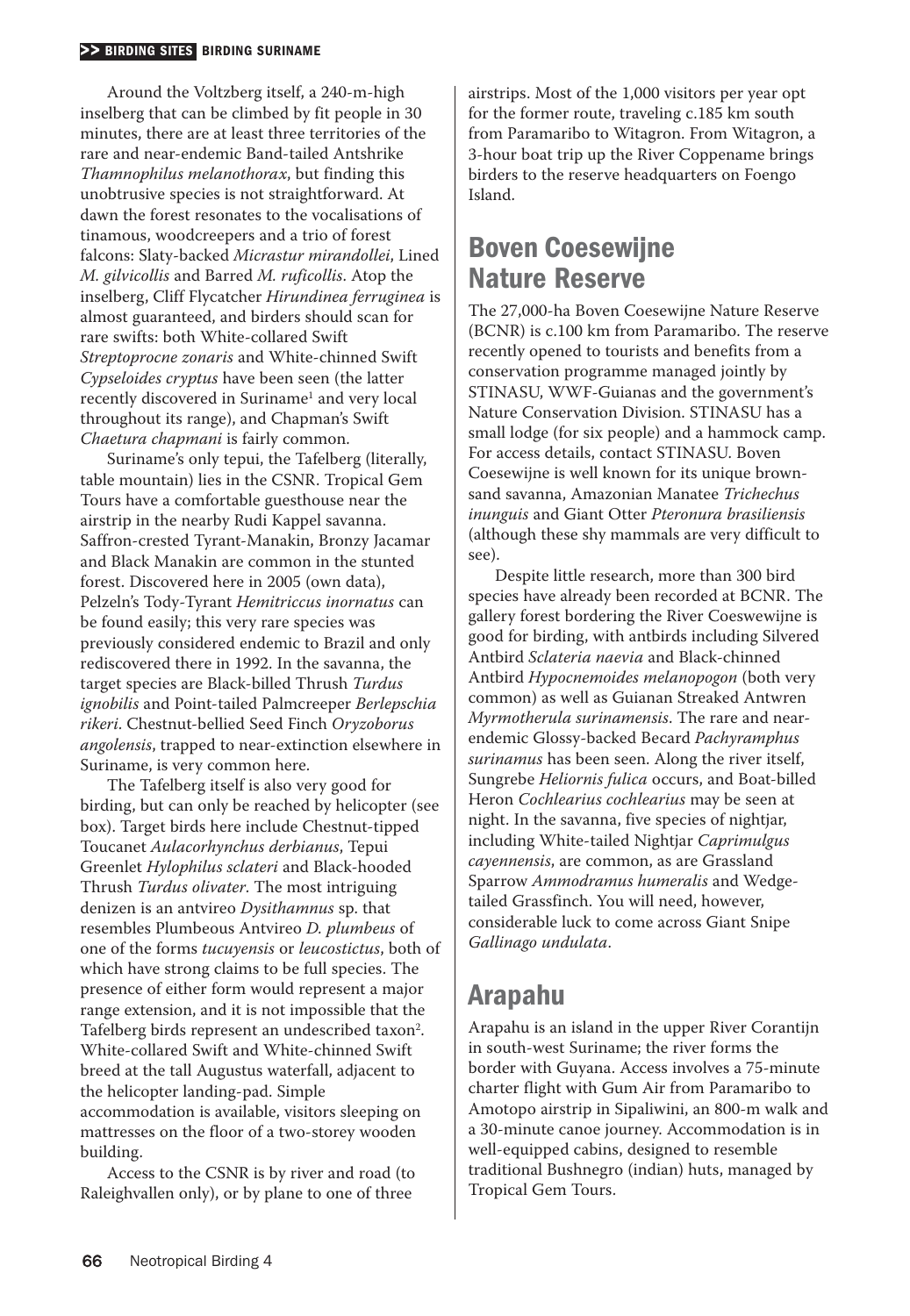#### >> BIRDING SITES BIRDING SURINAME

Around the Voltzberg itself, a 240-m-high inselberg that can be climbed by fit people in 30 minutes, there are at least three territories of the rare and near- endemic Band- tailed Antshrike *Thamnophilus melanothorax*, but finding this unobtrusive species is not straightforward. At dawn the forest resonates to the vocalisations of tinamous, woodcreepers and a trio of forest falcons: Slaty- backed *Micrastur mirandollei*, Lined *M. gilvicollis* and Barred *M. ruficollis*. Atop the inselberg, Cliff Flycatcher *Hirundinea ferruginea* is almost guaranteed, and birders should scan for rare swifts: both White-collared Swift *Streptoprocne zonaris* and White- chinned Swift *Cypseloides cryptus* have been seen (the latter recently discovered in Suriname<sup>1</sup> and very local throughout its range), and Chapman's Swift *Chaetura chapmani* is fairly common.

Suriname's only tepui, the Tafelberg (literally, table mountain) lies in the CSNR. Tropical Gem Tours have a comfortable guesthouse near the airstrip in the nearby Rudi Kappel savanna. Saffron-crested Tyrant-Manakin, Bronzy Jacamar and Black Manakin are common in the stunted forest. Discovered here in 2005 (own data), Pelzeln's Tody- Tyrant *Hemitriccus inornatus* can be found easily; this very rare species was previously considered endemic to Brazil and only rediscovered there in 1992. In the savanna, the target species are Black- billed Thrush *Turdus ignobilis* and Point- tailed Palmcreeper *Berlepschia rikeri*. Chestnut- bellied Seed Finch *Oryzoborus angolensis*, trapped to near-extinction elsewhere in Suriname, is very common here.

The Tafelberg itself is also very good for birding, but can only be reached by helicopter (see box). Target birds here include Chestnut- tipped Toucanet *Aulacorhynchus derbianus*, Tepui Greenlet *Hylophilus sclateri* and Black- hooded Thrush *Turdus olivater*. The most intriguing denizen is an antvireo *Dysithamnus* sp. that resembles Plumbeous Antvireo *D. plumbeus* of one of the forms *tucuyensis* or *leucostictus*, both of which have strong claims to be full species. The presence of either form would represent a major range extension, and it is not impossible that the Tafelberg birds represent an undescribed taxon2. White- collared Swift and White- chinned Swift breed at the tall Augustus waterfall, adjacent to the helicopter landing- pad. Simple accommodation is available, visitors sleeping on mattresses on the floor of a two-storey wooden building.

Access to the CSNR is by river and road (to Raleighvallen only), or by plane to one of three

airstrips. Most of the 1,000 visitors per year opt for the former route, traveling c.185 km south from Paramaribo to Witagron. From Witagron, a 3-hour boat trip up the River Coppename brings birders to the reserve headquarters on Foengo Island.

#### Boven Coesewijne Nature Reserve

The 27,000-ha Boven Coesewijne Nature Reserve (BCNR) is c.100 km from Paramaribo. The reserve recently opened to tourists and benefits from a conservation programme managed jointly by STINASU, WWF-Guianas and the government's Nature Conservation Division. STINASU has a small lodge (for six people) and a hammock camp. For access details, contact STINASU. Boven Coesewijne is well known for its unique brown sand savanna, Amazonian Manatee *Trichechus inunguis* and Giant Otter *Pteronura brasiliensis* (although these shy mammals are very difficult to see).

Despite little research, more than 300 bird species have already been recorded at BCNR. The gallery forest bordering the River Coeswewijne is good for birding, with antbirds including Silvered Antbird *Sclateria naevia* and Black- chinned Antbird *Hypocnemoides melanopogon* (both very common) as well as Guianan Streaked Antwren *Myrmotherula surinamensis*. The rare and near endemic Glossy- backed Becard *Pachyramphus surinamus* has been seen. Along the river itself, Sungrebe *Heliornis fulica* occurs, and Boat-billed Heron *Cochlearius cochlearius* may be seen at night. In the savanna, five species of nightjar, including White- tailed Nightjar *Caprimulgus cayennensis*, are common, as are Grassland Sparrow *Ammodramus humeralis* and Wedge tailed Grassfinch. You will need, however, considerable luck to come across Giant Snipe *Gallinago undulata*.

### Arapahu

Arapahu is an island in the upper River Corantijn in south- west Suriname; the river forms the border with Guyana. Access involves a 75-minute charter flight with Gum Air from Paramaribo to Amotopo airstrip in Sipaliwini, an 800-m walk and a 30-minute canoe journey. Accommodation is in well-equipped cabins, designed to resemble traditional Bushnegro (indian) huts, managed by Tropical Gem Tours.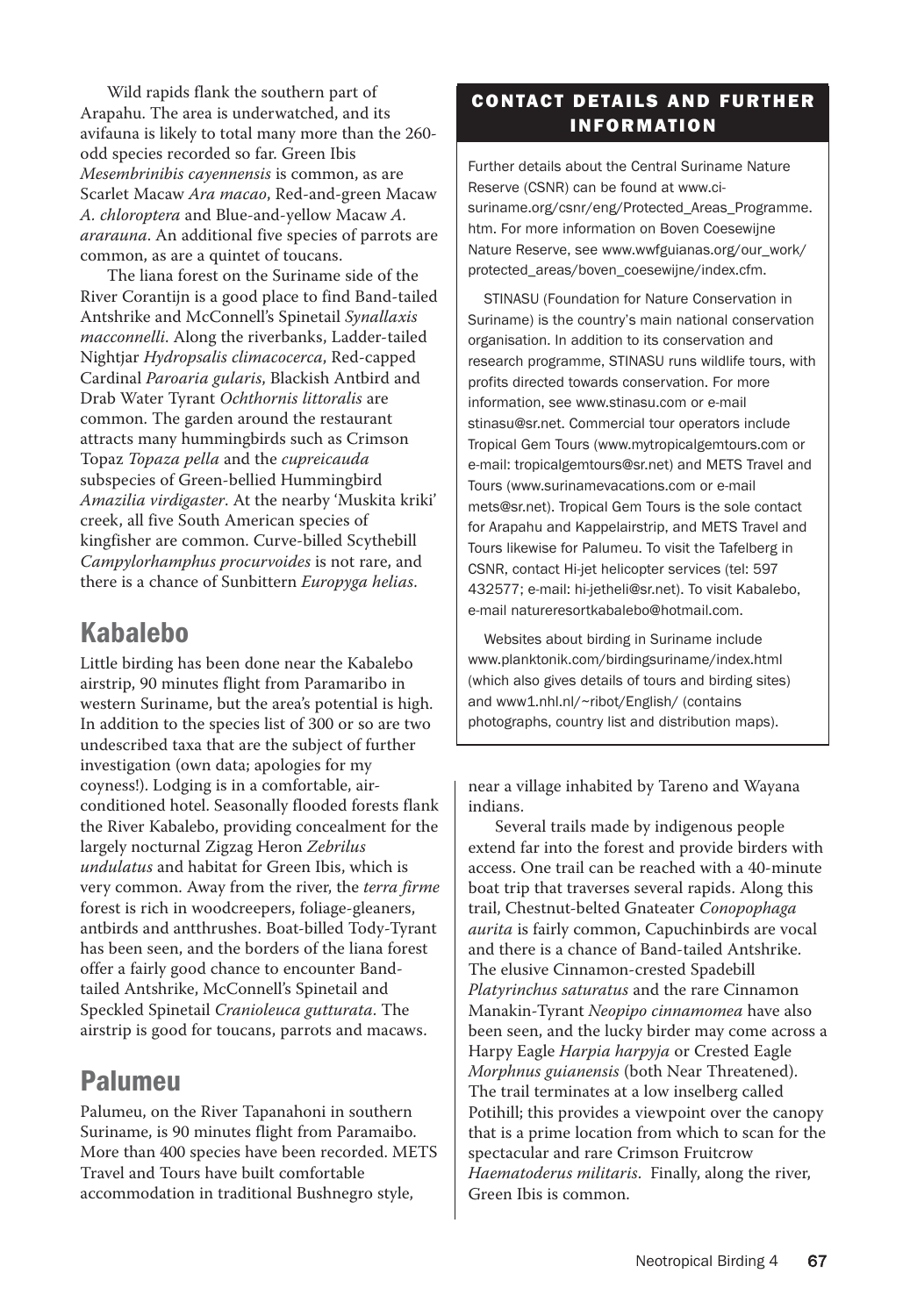Wild rapids flank the southern part of Arapahu. The area is underwatched, and its avifauna is likely to total many more than the 260 odd species recorded so far. Green Ibis *Mesembrinibis cayennensis* is common, as are Scarlet Macaw *Ara macao*, Red-and-green Macaw *A. chloroptera* and Blue- and- yellow Macaw *A. ararauna*. An additional five species of parrots are common, as are a quintet of toucans.

The liana forest on the Suriname side of the River Corantijn is a good place to find Band- tailed Antshrike and McConnell's Spinetail *Synallaxis macconnelli*. Along the riverbanks, Ladder-tailed Nightjar *Hydropsalis climacocerca*, Red-capped Cardinal *Paroaria gularis*, Blackish Antbird and Drab Water Tyrant *Ochthornis littoralis* are common. The garden around the restaurant attracts many hummingbirds such as Crimson Topaz *Topaza pella* and the *cupreicauda* subspecies of Green- bellied Hummingbird *Amazilia virdigaster*. At the nearby 'Muskita kriki' creek, all five South American species of kingfisher are common. Curve-billed Scythebill *Campylorhamphus procurvoides* is not rare, and there is a chance of Sunbittern *Europyga helias*.

### Kabalebo

Little birding has been done near the Kabalebo airstrip, 90 minutes flight from Paramaribo in western Suriname, but the area's potential is high. In addition to the species list of 300 or so are two undescribed taxa that are the subject of further investigation (own data; apologies for my coyness!). Lodging is in a comfortable, air conditioned hotel. Seasonally flooded forests flank the River Kabalebo, providing concealment for the largely nocturnal Zigzag Heron *Zebrilus undulatus* and habitat for Green Ibis, which is very common. Away from the river, the *terra firme* forest is rich in woodcreepers, foliage- gleaners, antbirds and antthrushes. Boat-billed Tody-Tyrant has been seen, and the borders of the liana forest offer a fairly good chance to encounter Band tailed Antshrike, McConnell's Spinetail and Speckled Spinetail *Cranioleuca gutturata*. The airstrip is good for toucans, parrots and macaws.

### Palumeu

Palumeu, on the River Tapanahoni in southern Suriname, is 90 minutes flight from Paramaibo. More than 400 species have been recorded. METS Travel and Tours have built comfortable accommodation in traditional Bushnegro style,

#### CONTACT DETAILS AND FURTHER INFORMATION

Further details about the Central Suriname Nature Reserve (CSNR) can be found at www. ci suriname.org/csnr/eng/Protected\_Areas\_Programme. htm. For more information on Boven Coesewijne Nature Reserve, see www.wwfguianas.org/our\_work/ protected\_areas/boven\_coesewijne/index.cfm.

STINASU (Foundation for Nature Conservation in Suriname) is the country's main national conservation organisation. In addition to its conservation and research programme, STINASU runs wildlife tours, with profits directed towards conservation. For more information, see www.stinasu.com or e-mail stinasu@sr.net. Commercial tour operators include Tropical Gem Tours (www.mytropicalgemtours.com or e- mail: tropicalgemtours@sr.net) and METS Travel and Tours (www.surinamevacations.com or e-mail mets@sr.net). Tropical Gem Tours is the sole contact for Arapahu and Kappelairstrip, and METS Travel and Tours likewise for Palumeu. To visit the Tafelberg in CSNR, contact Hi-jet helicopter services (tel: 597 432577; e-mail: hi-ietheli@sr.net). To visit Kabalebo, e- mail natureresortkabalebo@hotmail.com.

Websites about birding in Suriname include www.planktonik.com/birdingsuriname/index.html (which also gives details of tours and birding sites) and www1.nhl.nl/~ribot/English/ (contains photographs, country list and distribution maps).

near a village inhabited by Tareno and Wayana indians.

Several trails made by indigenous people extend far into the forest and provide birders with access. One trail can be reached with a 40-minute boat trip that traverses several rapids. Along this trail, Chestnut- belted Gnateater *Conopophaga aurita* is fairly common, Capuchinbirds are vocal and there is a chance of Band- tailed Antshrike. The elusive Cinnamon- crested Spadebill *Platyrinchus saturatus* and the rare Cinnamon Manakin- Tyrant *Neopipo cinnamomea* have also been seen, and the lucky birder may come across a Harpy Eagle *Harpia harpyja* or Crested Eagle *Morphnus guianensis* (both Near Threatened). The trail terminates at a low inselberg called Potihill; this provides a viewpoint over the canopy that is a prime location from which to scan for the spectacular and rare Crimson Fruitcrow *Haematoderus militaris*. Finally, along the river, Green Ibis is common.